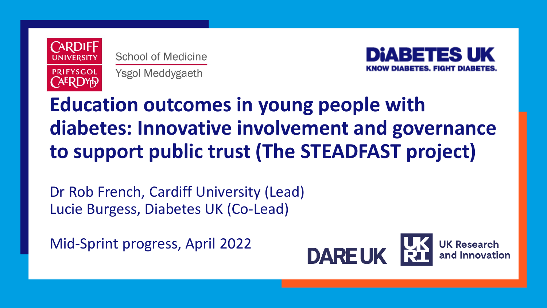

**School of Medicine** Ysgol Meddygaeth



# **Education outcomes in young people with diabetes: Innovative involvement and governance to support public trust (The STEADFAST project)**

Dr Rob French, Cardiff University (Lead) Lucie Burgess, Diabetes UK (Co-Lead)

Mid-Sprint progress, April 2022

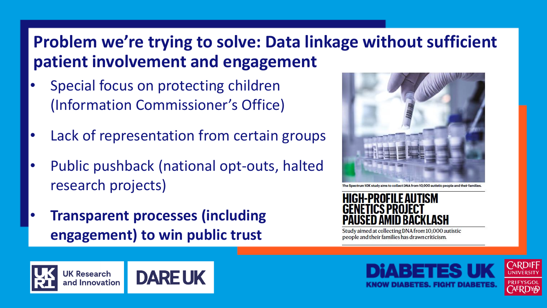# **Problem we're trying to solve: Data linkage without sufficient patient involvement and engagement**

- Special focus on protecting children (Information Commissioner's Office)
- Lack of representation from certain groups
- Public pushback (national opt-outs, halted research projects)
- **Transparent processes (including engagement) to win public trust**







Study aimed at collecting DNA from 10,000 autistic people and their families has drawn criticism.





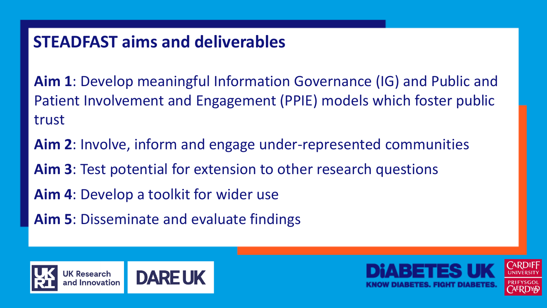# **STEADFAST aims and deliverables**

**Aim 1**: Develop meaningful Information Governance (IG) and Public and Patient Involvement and Engagement (PPIE) models which foster public trust

**Aim 2**: Involve, inform and engage under-represented communities **Aim 3**: Test potential for extension to other research questions **Aim 4**: Develop a toolkit for wider use

**Aim 5**: Disseminate and evaluate findings



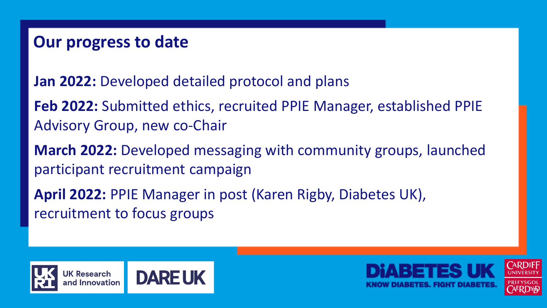## **Our progress to date**

**Jan 2022:** Developed detailed protocol and plans

**Feb 2022:** Submitted ethics, recruited PPIE Manager, established PPIE Advisory Group, new co-Chair

**March 2022:** Developed messaging with community groups, launched participant recruitment campaign

**April 2022:** PPIE Manager in post (Karen Rigby, Diabetes UK), recruitment to focus groups



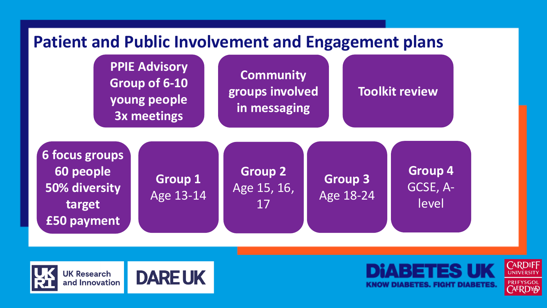





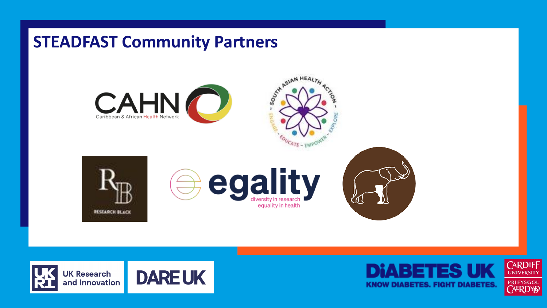### **STEADFAST Community Partners**







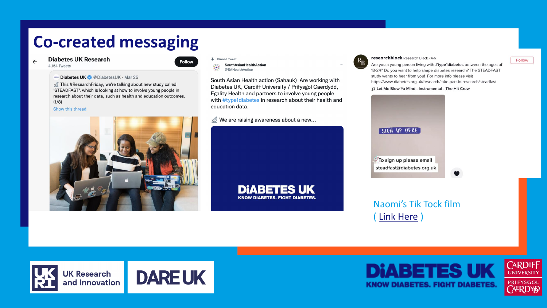# **Co-created messaging**

#### **Diabetes UK Research**  $\leftarrow$ 4,154 Tweets



### $\blacksquare$  Diabetes UK @ Diabetes UK  $\cdot$  Mar 25

This #ResearchFriday, we're talking about new study called 'STEADFAST', which is looking at how to involve young people in research about their data, such as health and education outcomes.  $(1/8)$ 

### Show this thread



### **本** Pinned Tweet **SouthAsianHealthAction** @SAHealthAction

education data.

South Asian Health action (Sahauk) Are working with Diabetes UK, Cardiff University / Prifysgol Caerdydd, Egality Health and partners to involve young people with #type1diabetes in research about their health and

> **DIABETES UK KNOW DIABETES. FIGHT DIABETES**

 $\mathcal{S}$  We are raising awareness about a new...



### researchblack Research Black · 4-6

Are you a young person living with #type1diabetes between the ages of 13-24? Do you want to help shape diabetes research? The STEADFAST study wants to hear from you! For more info please visit https://www.diabetes.org.uk/research/take-part-in-research/steadfast

∩ Let Me Blow Ya Mind - Instrumental - The Hit Crew



Naomi's Tik Tock film ( [Link Here](https://www.tiktok.com/@researchblack/video/7083498417372122373?is_from_webapp=1&sender_device=pc) )



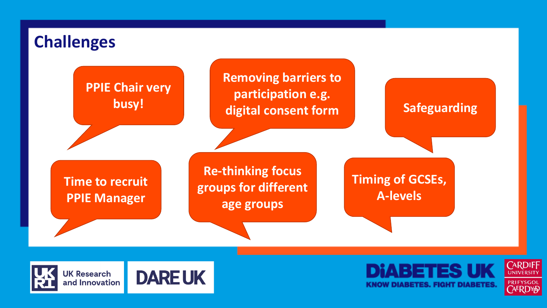



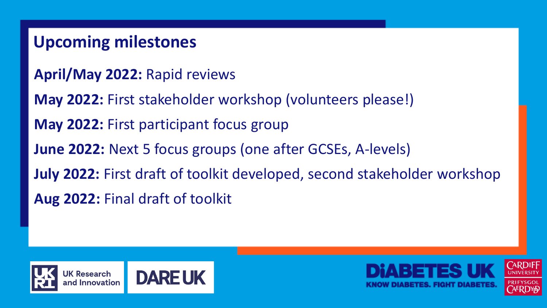# **Upcoming milestones**

- **April/May 2022:** Rapid reviews
- **May 2022:** First stakeholder workshop (volunteers please!)
- **May 2022:** First participant focus group
- **June 2022:** Next 5 focus groups (one after GCSEs, A-levels)
- **July 2022:** First draft of toolkit developed, second stakeholder workshop
- **Aug 2022:** Final draft of toolkit